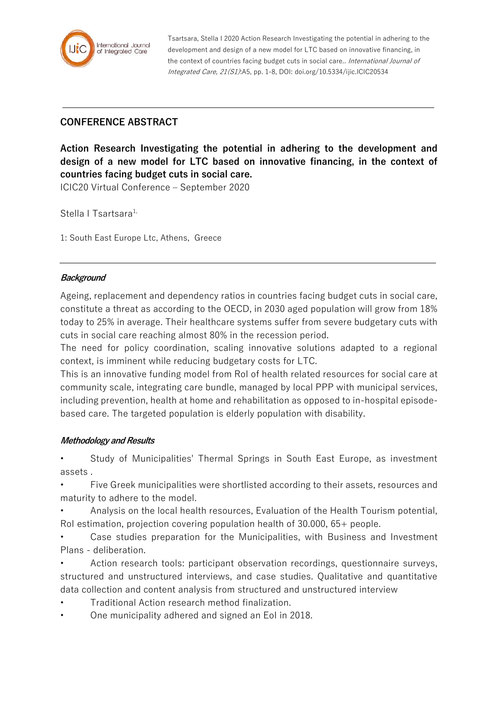

Tsartsara, Stella I 2020 Action Research Investigating the potential in adhering to the development and design of a new model for LTC based on innovative financing, in the context of countries facing budget cuts in social care.. International Journal of Integrated Care, 21(S1):A5, pp. 1-8, DOI: doi.org/10.5334/ijic.ICIC20534

## **CONFERENCE ABSTRACT**

**Action Research Investigating the potential in adhering to the development and design of a new model for LTC based on innovative financing, in the context of countries facing budget cuts in social care.**

ICIC20 Virtual Conference – September 2020

Stella I Tsartsara<sup>1,</sup>

1: South East Europe Ltc, Athens, Greece

## **Background**

Ageing, replacement and dependency ratios in countries facing budget cuts in social care, constitute a threat as according to the OECD, in 2030 aged population will grow from 18% today to 25% in average. Their healthcare systems suffer from severe budgetary cuts with cuts in social care reaching almost 80% in the recession period.

The need for policy coordination, scaling innovative solutions adapted to a regional context, is imminent while reducing budgetary costs for LTC.

This is an innovative funding model from RoI of health related resources for social care at community scale, integrating care bundle, managed by local PPP with municipal services, including prevention, health at home and rehabilitation as opposed to in-hospital episodebased care. The targeted population is elderly population with disability.

## **Methodology and Results**

• Study of Municipalities' Thermal Springs in South East Europe, as investment assets .

• Five Greek municipalities were shortlisted according to their assets, resources and maturity to adhere to the model.

• Analysis on the local health resources, Evaluation of the Health Tourism potential, RoI estimation, projection covering population health of 30.000, 65+ people.

• Case studies preparation for the Municipalities, with Business and Investment Plans - deliberation.

• Action research tools: participant observation recordings, questionnaire surveys, structured and unstructured interviews, and case studies. Qualitative and quantitative data collection and content analysis from structured and unstructured interview

- Traditional Action research method finalization.
- One municipality adhered and signed an EoI in 2018.